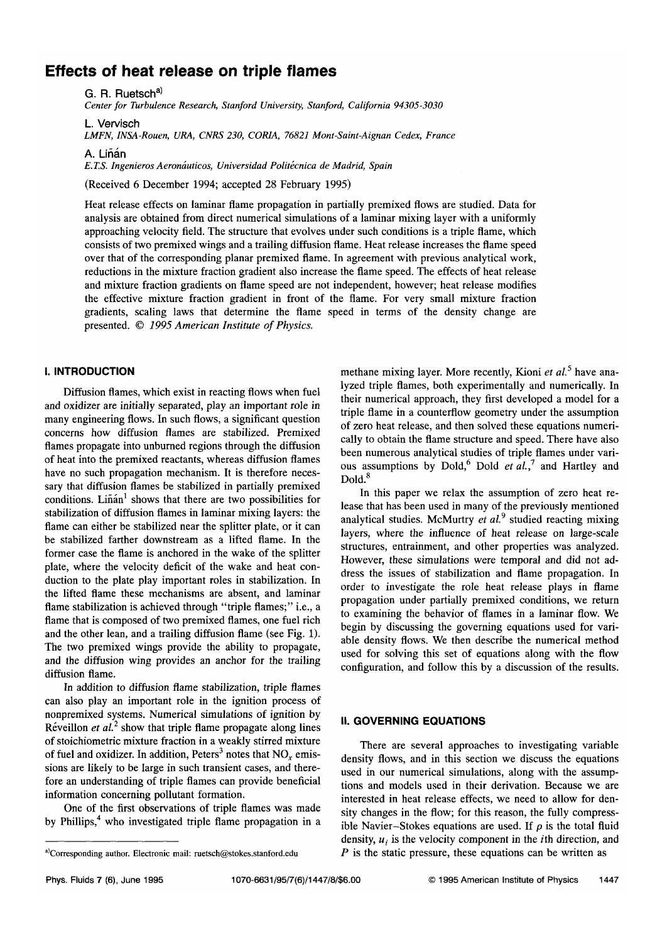# **Effects of heat release on triple flames**

**G. R. Ruetsch<sup>3</sup> '**  *Center for Turbulence Research, Stanford University, Stanford, California 94305-3030* 

**L Vervisch** 

*LMFN, INSA-Rouen, URA, CNRS 230, CORIA, 76821 Mont-Saint-Aignan Cedex, France* 

**A. Linan** 

*E.T.S. Ingenieros Aeronduticos, Universidad Politecnica de Madrid, Spain* 

(Received 6 December 1994; accepted 28 February 1995)

Heat release effects on laminar flame propagation in partially premixed flows are studied. Data for analysis are obtained from direct numerical simulations of a laminar mixing layer with a uniformly approaching velocity field. The structure that evolves under such conditions is a triple flame, which consists of two premixed wings and a trailing diffusion flame. Heat release increases the flame speed over that of the corresponding planar premixed flame. In agreement with previous analytical work, reductions in the mixture fraction gradient also increase the flame speed. The effects of heat release and mixture fraction gradients on flame speed are not independent, however; heat release modifies the effective mixture fraction gradient in front of the flame. For very small mixture fraction gradients, scaling laws that determine the flame speed in terms of the density change are presented. © *1995 American Institute of Physics.* 

## **I. INTRODUCTION**

Diffusion flames, which exist in reacting flows when fuel and oxidizer are initially separated, play an important role in many engineering flows. In such flows, a significant question concerns how diffusion flames are stabilized. Premixed flames propagate into unburned regions through the diffusion of heat into the premixed reactants, whereas diffusion flames have no such propagation mechanism. It is therefore necessary that diffusion flames be stabilized in partially premixed conditions. Liñán<sup>1</sup> shows that there are two possibilities for stabilization of diffusion flames in laminar mixing layers: the flame can either be stabilized near the splitter plate, or it can be stabilized farther downstream as a lifted flame. In the former case the flame is anchored in the wake of the splitter plate, where the velocity deficit of the wake and heat conduction to the plate play important roles in stabilization. In the lifted flame these mechanisms are absent, and laminar flame stabilization is achieved through "triple flames;" i.e., a flame that is composed of two premixed flames, one fuel rich and the other lean, and a trailing diffusion flame (see Fig. 1). The two premixed wings provide the ability to propagate, and the diffusion wing provides an anchor for the trailing diffusion flame.

In addition to diffusion flame stabilization, triple flames can also play an important role in the ignition process of nonpremixed systems. Numerical simulations of ignition by Réveillon *et al.*<sup>2</sup> show that triple flame propagate along lines of stoichiometric mixture fraction in a weakly stirred mixture of fuel and oxidizer. In addition, Peters<sup>3</sup> notes that  $NO<sub>x</sub>$  emissions are likely to be large in such transient cases, and therefore an understanding of triple flames can provide beneficial information concerning pollutant formation.

One of the first observations of triple flames was made by Phillips,<sup>4</sup> who investigated triple flame propagation in a

methane mixing layer. More recently, Kioni *et al.<sup>5</sup>* have analyzed triple flames, both experimentally and numerically. In their numerical approach, they first developed a model for a triple flame in a counterflow geometry under the assumption of zero heat release, and then solved these equations numerically to obtain the flame structure and speed. There have also been numerous analytical studies of triple flames under various assumptions by Dold,<sup>6</sup> Dold *et al.*,<sup>7</sup> and Hartley and Dold.<sup>8</sup>

In this paper we relax the assumption of zero heat release that has been used in many of the previously mentioned analytical studies. McMurtry et al.<sup>9</sup> studied reacting mixing layers, where the influence of heat release on large-scale structures, entrainment, and other properties was analyzed. However, these simulations were temporal and did not address the issues of stabilization and flame propagation. In order to investigate the role heat release plays in flame propagation under partially premixed conditions, we return to examining the behavior of flames in a laminar flow. We begin by discussing the governing equations used for variable density flows. We then describe the numerical method used for solving this set of equations along with the flow configuration, and follow this by a discussion of the results.

## **II. GOVERNING EQUATIONS**

There are several approaches to investigating variable density flows, and in this section we discuss the equations used in our numerical simulations, along with the assumptions and models used in their derivation. Because we are interested in heat release effects, we need to allow for density changes in the flow; for this reason, the fully compressible Navier-Stokes equations are used. If  $\rho$  is the total fluid density,  $u_i$ , is the velocity component in the *i*th direction, and *P* is the static pressure, these equations can be written as

a)Corresponding author. Electronic mail: [ruetsch@stokes.stanford.edu](mailto:ruetsch@stokes.stanford.edu)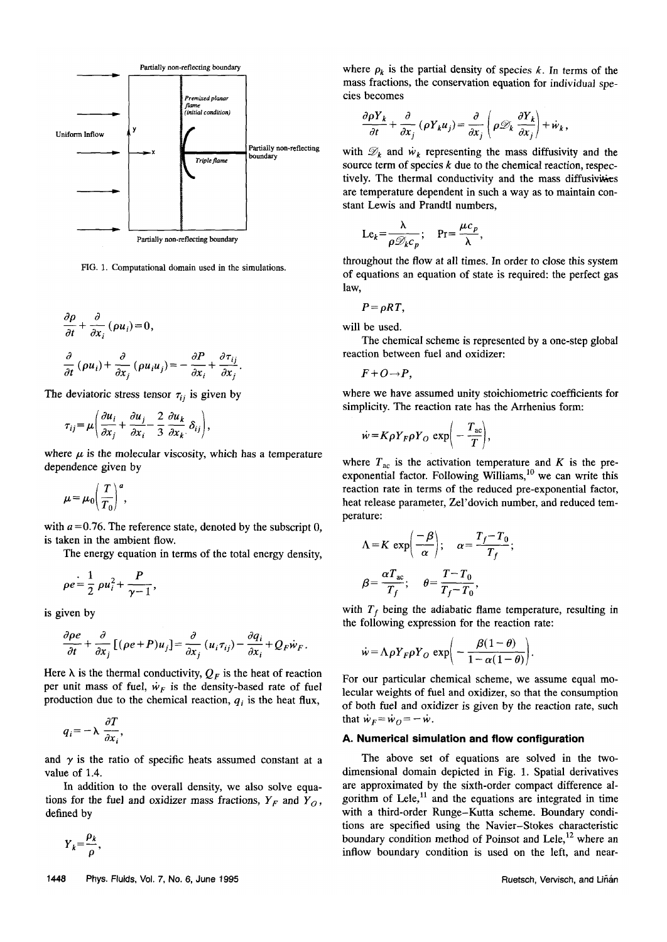

FIG. 1. Computational domain used in the simulations.

$$
\frac{\partial \rho}{\partial t} + \frac{\partial}{\partial x_i} (\rho u_i) = 0,
$$
  

$$
\frac{\partial}{\partial t} (\rho u_i) + \frac{\partial}{\partial x_i} (\rho u_i u_j) = -\frac{\partial P}{\partial x_i} + \frac{\partial \tau_{ij}}{\partial x_i}.
$$

The deviatoric stress tensor  $\tau_{ii}$  is given by

$$
\tau_{ij} = \mu \left( \frac{\partial u_i}{\partial x_j} + \frac{\partial u_j}{\partial x_i} - \frac{2}{3} \frac{\partial u_k}{\partial x_k} \delta_{ij} \right),
$$

where  $\mu$  is the molecular viscosity, which has a temperature dependence given by

$$
\mu = \mu_0 \left(\frac{T}{T_0}\right)^a,
$$

with  $a = 0.76$ . The reference state, denoted by the subscript 0, is taken in the ambient flow.

The energy equation in terms of the total energy density,

$$
\rho e = \frac{1}{2} \rho u_i^2 + \frac{P}{\gamma - 1},
$$

is given by

$$
\frac{\partial \rho e}{\partial t} + \frac{\partial}{\partial x_j} \left[ (\rho e + P) u_j \right] = \frac{\partial}{\partial x_j} (u_i \tau_{ij}) - \frac{\partial q_i}{\partial x_i} + Q_F \dot{w}_F.
$$

Here  $\lambda$  is the thermal conductivity,  $Q_F$  is the heat of reaction per unit mass of fuel,  $\dot{w}_F$  is the density-based rate of fuel production due to the chemical reaction,  $q_i$  is the heat flux,

$$
q_i = -\lambda \frac{\partial T}{\partial x_i},
$$

and  $\gamma$  is the ratio of specific heats assumed constant at a value of 1.4.

In addition to the overall density, we also solve equations for the fuel and oxidizer mass fractions,  $Y_F$  and  $Y_O$ , defined by

$$
Y_k = \frac{\rho_k}{\rho},
$$

1448 Phys. Fluids, Vol. 7, No. 6, June 1995 Ruetsch, Vervisch, Andreas Ruetsch, Vervisch, and Linan

where  $\rho_k$  is the partial density of species  $k$ . In terms of the mass fractions, the conservation equation for individual species becomes

$$
\frac{\partial \rho Y_k}{\partial t} + \frac{\partial}{\partial x_j} (\rho Y_k u_j) = \frac{\partial}{\partial x_j} \left( \rho \mathcal{D}_k \frac{\partial Y_k}{\partial x_j} \right) + \dot{w}_k,
$$

with  $\mathcal{D}_k$  and  $\dot{w}_k$  representing the mass diffusivity and the source term of species *k* due to the chemical reaction, respectively. The thermal conductivity and the mass diffusivities are temperature dependent in such a way as to maintain constant Lewis and Prandtl numbers,

$$
\operatorname{Le}_k = \frac{\lambda}{\rho \mathscr{D}_k c_p}; \quad \operatorname{Pr} = \frac{\mu c_p}{\lambda},
$$

throughout the flow at all times. In order to close this system of equations an equation of state is required: the perfect gas law,

$$
P = \rho R T,
$$

will be used.

The chemical scheme is represented by a one-step global reaction between fuel and oxidizer:

$$
F+O\rightarrow P,
$$

where we have assumed unity stoichiometric coefficients for simplicity. The reaction rate has the Arrhenius form:

$$
\dot{\mathbf{w}} = K \rho Y_F \rho Y_O \exp\left(-\frac{T_{ac}}{T}\right),\,
$$

where  $T_{ac}$  is the activation temperature and K is the preexponential factor. Following Williams,  $10$  we can write this reaction rate in terms of the reduced pre-exponential factor, heat release parameter, Zel'dovich number, and reduced temperature:

$$
\Lambda = K \exp\left(\frac{-\beta}{\alpha}\right); \quad \alpha = \frac{T_f - T_0}{T_f};
$$

$$
\beta = \frac{\alpha T_{ac}}{T_f}; \quad \theta = \frac{T - T_0}{T_f - T_0},
$$

with  $T_f$  being the adiabatic flame temperature, resulting in the following expression for the reaction rate:

$$
\dot{\mathbf{w}} = \Lambda \rho Y_F \rho Y_O \exp\left(-\frac{\beta(1-\theta)}{1-\alpha(1-\theta)}\right)
$$

For our particular chemical scheme, we assume equal molecular weights of fuel and oxidizer, so that the consumption of both fuel and oxidizer is given by the reaction rate, such that  $\dot{w}_F = \dot{w}_O = -\dot{w}$ .

### **A. Numerical simulation and flow configuration**

The above set of equations are solved in the twodimensional domain depicted in Fig. 1. Spatial derivatives are approximated by the sixth-order compact difference algorithm of Lele, $<sup>11</sup>$  and the equations are integrated in time</sup> with a third-order Runge-Kutta scheme. Boundary conditions are specified using the Navier- Stokes characteristic boundary condition method of Poinsot and Lele,<sup>12</sup> where an inflow boundary condition is used on the left, and near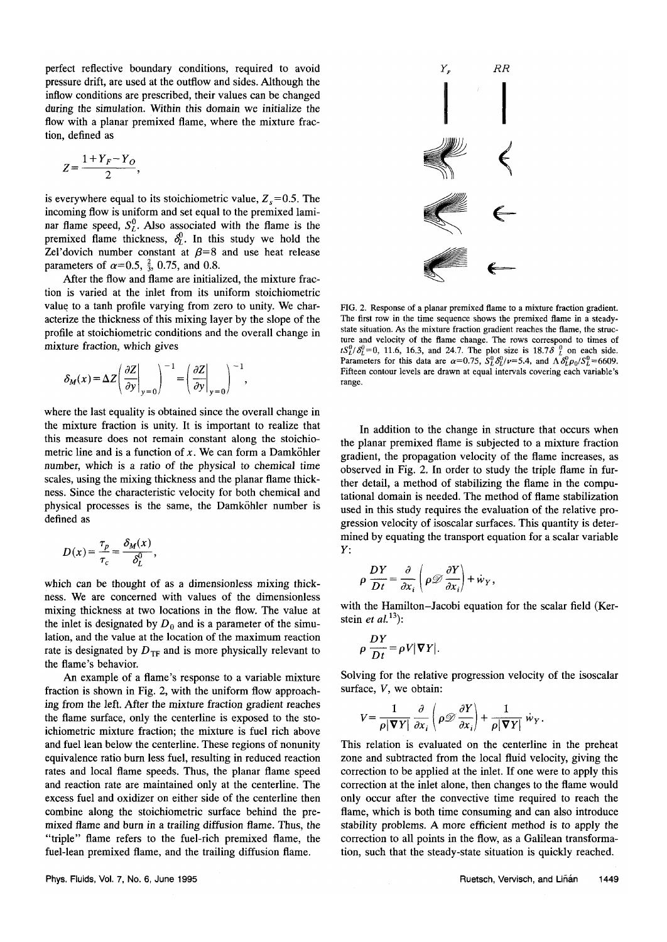perfect reflective boundary conditions, required to avoid pressure drift, are used at the outflow and sides. Although the inflow conditions are prescribed, their values can be changed during the simulation. Within this domain we initialize the flow with a planar premixed flame, where the mixture fraction, defined as

$$
Z = \frac{1 + Y_F - Y_O}{2},
$$

is everywhere equal to its stoichiometric value,  $Z_s = 0.5$ . The incoming flow is uniform and set equal to the premixed laminar flame speed,  $S_L^0$ . Also associated with the flame is the premixed flame thickness,  $\delta_l^0$ . In this study we hold the Zel'dovich number constant at  $\beta=8$  and use heat release parameters of  $\alpha$ =0.5,  $\frac{2}{3}$ , 0.75, and 0.8.

After the flow and flame are initialized, the mixture fraction is varied at the inlet from its uniform stoichiometric value to a tanh profile varying from zero to unity. We characterize the thickness of this mixing layer by the slope of the profile at stoichiometric conditions and the overall change in mixture fraction, which gives

$$
\delta_M(x) = \Delta Z \left( \left. \frac{\partial Z}{\partial y} \right|_{y=0} \right)^{-1} = \left( \left. \frac{\partial Z}{\partial y} \right|_{y=0} \right)^{-1},
$$

where the last equality is obtained since the overall change in the mixture fraction is unity. It is important to realize that this measure does not remain constant along the stoichiometric line and is a function of  $x$ . We can form a Damkohler number, which is a ratio of the physical to chemical time scales, using the mixing thickness and the planar flame thickness. Since the characteristic velocity for both chemical and physical processes is the same, the Damkohler number is defined as

$$
D(x) = \frac{\tau_p}{\tau_c} = \frac{\delta_M(x)}{\delta_L^0},
$$

which can be thought of as a dimensionless mixing thickness. We are concerned with values of the dimensionless mixing thickness at two locations in the flow. The value at the inlet is designated by  $D_0$  and is a parameter of the simulation, and the value at the location of the maximum reaction rate is designated by  $D_{\text{TF}}$  and is more physically relevant to the flame's behavior.

An example of a flame's response to a variable mixture fraction is shown in Fig. 2, with the uniform flow approaching from the left. After the mixture fraction gradient reaches the flame surface, only the centerline is exposed to the stoichiometric mixture fraction; the mixture is fuel rich above and fuel lean below the centerline. These regions of nonunity equivalence ratio burn less fuel, resulting in reduced reaction rates and local flame speeds. Thus, the planar flame speed and reaction rate are maintained only at the centerline. The excess fuel and oxidizer on either side of the centerline then combine along the stoichiometric surface behind the premixed flame and burn in a trailing diffusion flame. Thus, the "triple" flame refers to the fuel-rich premixed flame, the fuel-lean premixed flame, and the trailing diffusion flame.



FIG. 2. Response of a planar premixed flame to a mixture fraction gradient. The first row in the time sequence shows the premixed flame in a steadystate situation. As the mixture fraction gradient reaches the flame, the structure and velocity of the flame change. The rows correspond to times of  $tS_L^0/\delta_L^0=0$ , 11.6, 16.3, and 24.7. The plot size is 18.7 $\delta_L^0$  on each side. Parameters for this data are  $\alpha = 0.75$ ,  $S_L^0 \delta_L^0 / \nu = 5.4$ , and  $\Lambda \delta_L^0 \rho_0 / S_L^0 = 6609$ . Fifteen contour levels are drawn at equal intervals covering each variable's range.

In addition to the change in structure that occurs when the planar premixed flame is subjected to a mixture fraction gradient, the propagation velocity of the flame increases, as observed in Fig. 2. In order to study the triple flame in further detail, a method of stabilizing the flame in the computational domain is needed. The method of flame stabilization used in this study requires the evaluation of the relative progression velocity of isoscalar surfaces. This quantity is determined by equating the transport equation for a scalar variable *Y:* 

$$
\rho \frac{DY}{Dt} = \frac{\partial}{\partial x_i} \left( \rho \mathcal{D} \frac{\partial Y}{\partial x_i} \right) + \dot{w}_Y,
$$

with the Hamilton-Jacobi equation for the scalar field (Kerstein *et al.<sup>13</sup>):* 

$$
\rho \frac{DY}{Dt} = \rho V |\nabla Y|.
$$

Solving for the relative progression velocity of the isoscalar surface, *V,* we obtain:

$$
V = \frac{1}{\rho |\nabla Y|} \frac{\partial}{\partial x_i} \left( \rho \mathcal{D} \frac{\partial Y}{\partial x_i} \right) + \frac{1}{\rho |\nabla Y|} \dot{w}_Y.
$$

This relation is evaluated on the centerline in the preheat zone and subtracted from the local fluid velocity, giving the correction to be applied at the inlet. If one were to apply this correction at the inlet alone, then changes to the flame would only occur after the convective time required to reach the flame, which is both time consuming and can also introduce stability problems. A more efficient method is to apply the correction to all points in the flow, as a Galilean transformation, such that the steady-state situation is quickly reached.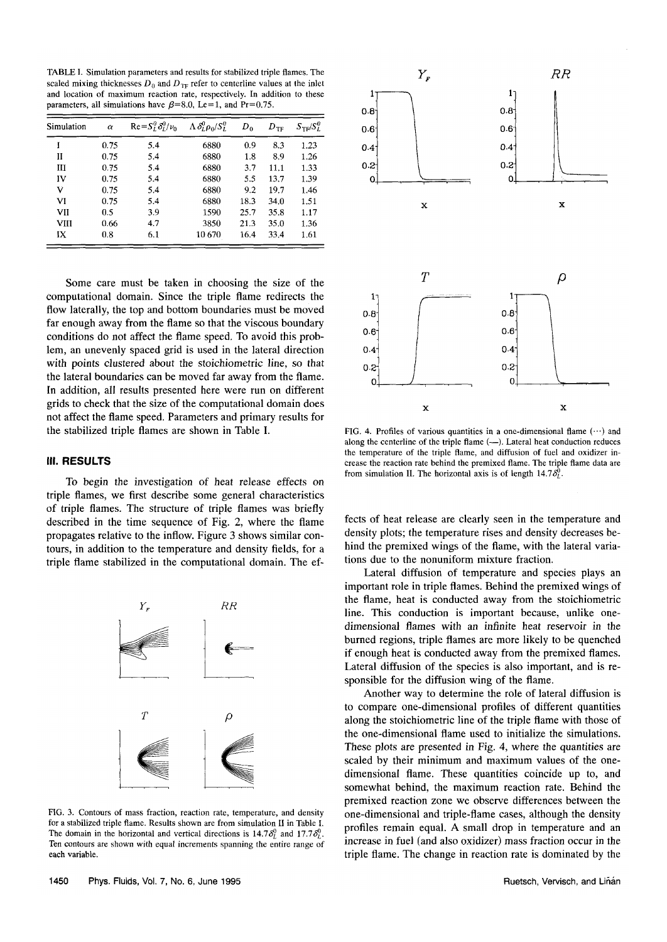TABLE I. Simulation parameters and results for stabilized triple flames. The scaled mixing thicknesses  $D_0$  and  $D_{\text{TF}}$  refer to centerline values at the inlet and location of maximum reaction rate, respectively. In addition to these parameters, all simulations have  $\beta$ =8.0, Le=1, and Pr=0.75.

| Simulation | $\alpha$ | $\text{Re} = S_L^0 \delta_L^0 / \nu_0$ | $\Lambda \delta_l^0 \rho_0 / S_L^0$ | $D_0$ | $D_{\rm TF}$ | $S_{TF}/S_L^0$ |
|------------|----------|----------------------------------------|-------------------------------------|-------|--------------|----------------|
| ŗ          | 0.75     | 5.4                                    | 6880                                | 0.9   | 8.3          | 1.23           |
| Н          | 0.75     | 5.4                                    | 6880                                | 1.8   | 8.9          | 1.26           |
| Ш          | 0.75     | 5.4                                    | 6880                                | 3.7   | 11.1         | 1.33           |
| IV         | 0.75     | 5.4                                    | 6880                                | 5.5   | 13.7         | 1.39           |
| v          | 0.75     | 5.4                                    | 6880                                | 9.2   | 19.7         | 1.46           |
| VI         | 0.75     | 5.4                                    | 6880                                | 18.3  | 34.0         | 1.51           |
| VII        | 0.5      | 3.9                                    | 1590                                | 25.7  | 35.8         | 1.17           |
| VIII       | 0.66     | 4.7                                    | 3850                                | 21.3  | 35.0         | 1.36           |
| IX         | 0.8      | 6.1                                    | 10 670                              | 16.4  | 33.4         | 1.61           |

Some care must be taken in choosing the size of the computational domain. Since the triple flame redirects the flow laterally, the top and bottom boundaries must be moved far enough away from the flame so that the viscous boundary conditions do not affect the flame speed. To avoid this problem, an unevenly spaced grid is used in the lateral direction with points clustered about the stoichiometric line, so that the lateral boundaries can be moved far away from the flame. In addition, all results presented here were run on different grids to check that the size of the computational domain does not affect the flame speed. Parameters and primary results for the stabilized triple flames are shown in Table I.

## **III. RESULTS**

To begin the investigation of heat release effects on triple flames, we first describe some general characteristics of triple flames. The structure of triple flames was briefly described in the time sequence of Fig. 2, where the flame propagates relative to the inflow. Figure 3 shows similar contours, in addition to the temperature and density fields, for a triple flame stabilized in the computational domain. The ef-



FIG. 3. Contours of mass fraction, reaction rate, temperature, and density for a stabilized triple flame. Results shown are from simulation II in Table I. The domain in the horizontal and vertical directions is  $14.7\delta_t^0$  and  $17.7\delta_t^0$ . Ten contours are shown with equal increments spanning the entire range of each variable.



FIG. 4. Profiles of various quantities in a one-dimensional flame  $(\cdots)$  and along the centerline of the triple flame (—). Lateral heat conduction reduces the temperature of the triple flame, and diffusion of fuel and oxidizer increase the reaction rate behind the premixed flame. The triple flame data are from simulation II. The horizontal axis is of length  $14.7\delta_l^0$ .

fects of heat release are clearly seen in the temperature and density plots; the temperature rises and density decreases behind the premixed wings of the flame, with the lateral variations due to the nonuniform mixture fraction.

Lateral diffusion of temperature and species plays an important role in triple flames. Behind the premixed wings of the flame, heat is conducted away from the stoichiometric line. This conduction is important because, unlike onedimensional flames with an infinite heat reservoir in the burned regions, triple flames are more likely to be quenched if enough heat is conducted away from the premixed flames. Lateral diffusion of the species is also important, and is responsible for the diffusion wing of the flame.

Another way to determine the role of lateral diffusion is to compare one-dimensional profiles of different quantities along the stoichiometric line of the triple flame with those of the one-dimensional flame used to initialize the simulations. These plots are presented in Fig. 4, where the quantities are scaled by their minimum and maximum values of the onedimensional flame. These quantities coincide up to, and somewhat behind, the maximum reaction rate. Behind the premixed reaction zone we observe differences between the one-dimensional and triple-flame cases, although the density profiles remain equal. A small drop in temperature and an increase in fuel (and also oxidizer) mass fraction occur in the triple flame. The change in reaction rate is dominated by the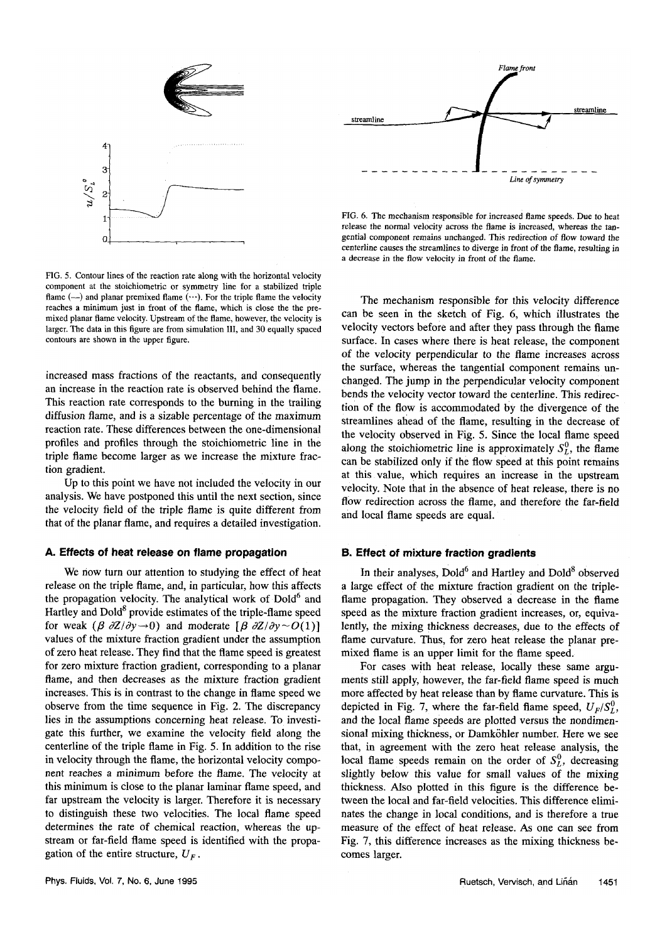

*J~~*—-~ *I* ^ streamline streamline *W*  $\sim$  *f Line of symmetry* 

*Flame front* 

FIG. 6. The mechanism responsible for increased flame speeds. Due to heat release the normal velocity across the flame is increased, whereas the tangential component remains unchanged. This redirection of flow toward the centerline causes the streamlines to diverge in front of the flame, resulting in a decrease in the flow velocity in front of the flame.

FIG. 5. Contour lines of the reaction rate along with the horizontal velocity component at the stoichiometric or symmetry line for a stabilized triple flame  $(-)$  and planar premixed flame  $(\cdots)$ . For the triple flame the velocity reaches a minimum just in front of the flame, which is close the the premixed planar flame velocity. Upstream of the flame, however, the velocity is larger. The data in this figure are from simulation III, and 30 equally spaced contours are shown in the upper figure.

increased mass fractions of the reactants, and consequently an increase in the reaction rate is observed behind the flame. This reaction rate corresponds to the burning in the trailing diffusion flame, and is a sizable percentage of the maximum reaction rate. These differences between the one-dimensional profiles and profiles through the stoichiometric line in the triple flame become larger as we increase the mixture fraction gradient.

Up to this point we have not included the velocity in our analysis. We have postponed this until the next section, since the velocity field of the triple flame is quite different from that of the planar flame, and requires a detailed investigation.

### **A. Effects of heat release on flame propagation**

We now turn our attention to studying the effect of heat release on the triple flame, and, in particular, how this affects the propagation velocity. The analytical work of Dold<sup>6</sup> and Hartley and Dold<sup>8</sup> provide estimates of the triple-flame speed for weak  $(\beta \frac{\partial Z}{\partial y} \rightarrow 0)$  and moderate  $[\beta \frac{\partial Z}{\partial y} \sim O(1)]$ values of the mixture fraction gradient under the assumption of zero heat release. They find that the flame speed is greatest for zero mixture fraction gradient, corresponding to a planar flame, and then decreases as the mixture fraction gradient increases. This is in contrast to the change in flame speed we observe from the time sequence in Fig. 2. The discrepancy lies in the assumptions concerning heat release. To investigate this further, we examine the velocity field along the centerline of the triple flame in Fig. 5. In addition to the rise in velocity through the flame, the horizontal velocity component reaches a minimum before the flame. The velocity at this minimum is close to the planar laminar flame speed, and far upstream the velocity is larger. Therefore it is necessary to distinguish these two velocities. The local flame speed determines the rate of chemical reaction, whereas the upstream or far-field flame speed is identified with the propagation of the entire structure,  $U_F$ .

The mechanism responsible for this velocity difference can be seen in the sketch of Fig. 6, which illustrates the velocity vectors before and after they pass through the flame surface. In cases where there is heat release, the component of the velocity perpendicular to the flame increases across the surface, whereas the tangential component remains unchanged. The jump in the perpendicular velocity component bends the velocity vector toward the centerline. This redirection of the flow is accommodated by the divergence of the streamlines ahead of the flame, resulting in the decrease of the velocity observed in Fig. 5. Since the local flame speed along the stoichiometric line is approximately  $S<sub>t</sub><sup>0</sup>$ , the flame can be stabilized only if the flow speed at this point remains at this value, which requires an increase in the upstream velocity. Note that in the absence of heat release, there is no flow redirection across the flame, and therefore the far-field and local flame speeds are equal.

### **B. Effect of mixture fraction gradients**

In their analyses, Dold<sup>6</sup> and Hartley and Dold<sup>8</sup> observed a large effect of the mixture fraction gradient on the tripleflame propagation. They observed a decrease in the flame speed as the mixture fraction gradient increases, or, equivalently, the mixing thickness decreases, due to the effects of flame curvature. Thus, for zero heat release the planar premixed flame is an upper limit for the flame speed.

For cases with heat release, locally these same arguments still apply, however, the far-field flame speed is much more affected by heat release than by flame curvature. This is depicted in Fig. 7, where the far-field flame speed,  $U_F/S^0_I$ , and the local flame speeds are plotted versus the nondimensional mixing thickness, or Damköhler number. Here we see that, in agreement with the zero heat release analysis, the local flame speeds remain on the order of  $S_L^0$ , decreasing slightly below this value for small values of the mixing thickness. Also plotted in this figure is the difference between the local and far-field velocities. This difference eliminates the change in local conditions, and is therefore a true measure of the effect of heat release. As one can see from Fig. 7, this difference increases as the mixing thickness becomes larger.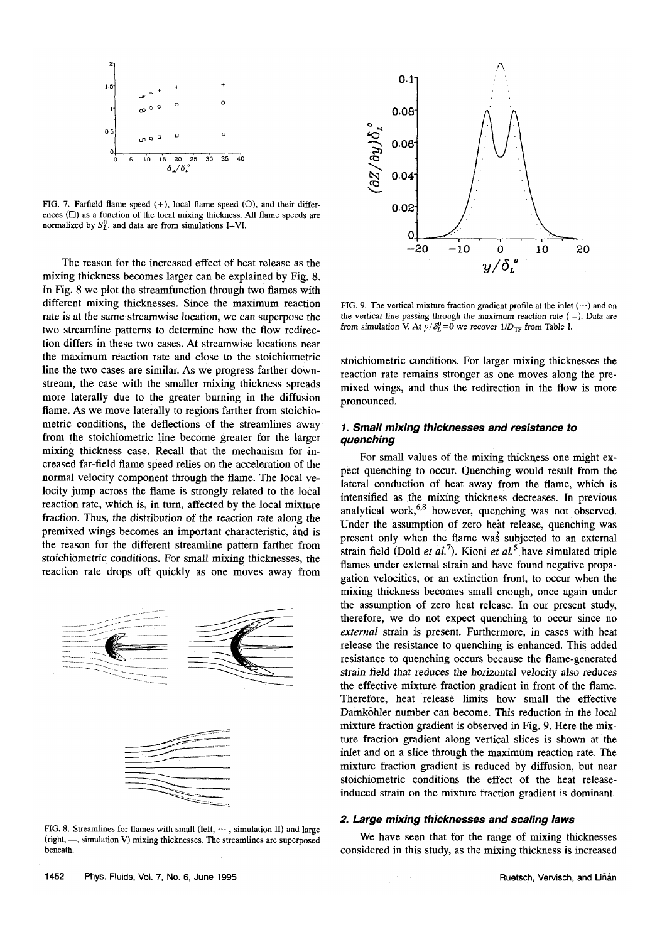

FIG. 7. Farfield flame speed  $(+)$ , local flame speed  $($ O $)$ , and their differences  $(\Box)$  as a function of the local mixing thickness. All flame speeds are normalized by  $S_L^0$ , and data are from simulations I–VI.

The reason for the increased effect of heat release as the mixing thickness becomes larger can be explained by Fig. 8. In Fig. 8 we plot the streamfunction through two flames with different mixing thicknesses. Since the maximum reaction rate is at the same streamwise location, we can superpose the two streamline patterns to determine how the flow redirection differs in these two cases. At streamwise locations near the maximum reaction rate and close to the stoichiometric line the two cases are similar. As we progress farther downstream, the case with the smaller mixing thickness spreads more laterally due to the greater burning in the diffusion flame. As we move laterally to regions farther from stoichiometric conditions, the deflections of the streamlines away from the stoichiometric line become greater for the larger mixing thickness case. Recall that the mechanism for increased far-field flame speed relies on the acceleration of the normal velocity component through the flame. The local velocity jump across the flame is strongly related to the local reaction rate, which is, in turn, affected by the local mixture fraction. Thus, the distribution of the reaction rate along the premixed wings becomes an important characteristic, and is the reason for the different streamline pattern farther from stoichiometric conditions. For small mixing thicknesses, the reaction rate drops off quickly as one moves away from



FIG. 8. Streamlines for flames with small (left,  $\cdots$ , simulation II) and large (right, —, simulation V) mixing thicknesses. The streamlines are superposed beneath.



FIG. 9. The vertical mixture fraction gradient profile at the inlet  $(\cdots)$  and on the vertical line passing through the maximum reaction rate (—). Data are from simulation V. At  $y/\delta_l^0=0$  we recover  $1/D_{\text{TE}}$  from Table I.

stoichiometric conditions. For larger mixing thicknesses the reaction rate remains stronger as one moves along the premixed wings, and thus the redirection in the flow is more pronounced.

## **1. Small mixing thicknesses and resistance to quenching**

For small values of the mixing thickness one might expect quenching to occur. Quenching would result from the lateral conduction of heat away from the flame, which is intensified as the mixing thickness decreases. In previous analytical work,<sup>6,8</sup> however, quenching was not observed. Under the assumption of zero heat release, quenching was present only when the flame was subjected to an external strain field (Dold *et al.*<sup>7</sup>). Kioni *et al.*<sup>5</sup> have simulated triple flames under external strain and have found negative propagation velocities, or an extinction front, to occur when the mixing thickness becomes small enough, once again under the assumption of zero heat release. In our present study, therefore, we do not expect quenching to occur since no *external* strain is present. Furthermore, in cases with heat release the resistance to quenching is enhanced. This added resistance to quenching occurs because the flame-generated strain field that reduces the horizontal velocity also reduces the effective mixture fraction gradient in front of the flame. Therefore, heat release limits how small the effective Damkohler number can become. This reduction in the local mixture fraction gradient is observed in Fig. 9. Here the mixture fraction gradient along vertical slices is shown at the inlet and on a slice through the maximum reaction rate. The mixture fraction gradient is reduced by diffusion, but near stoichiometric conditions the effect of the heat releaseinduced strain on the mixture fraction gradient is dominant.

#### **2. Large mixing thicknesses and scaling laws**

We have seen that for the range of mixing thicknesses considered in this study, as the mixing thickness is increased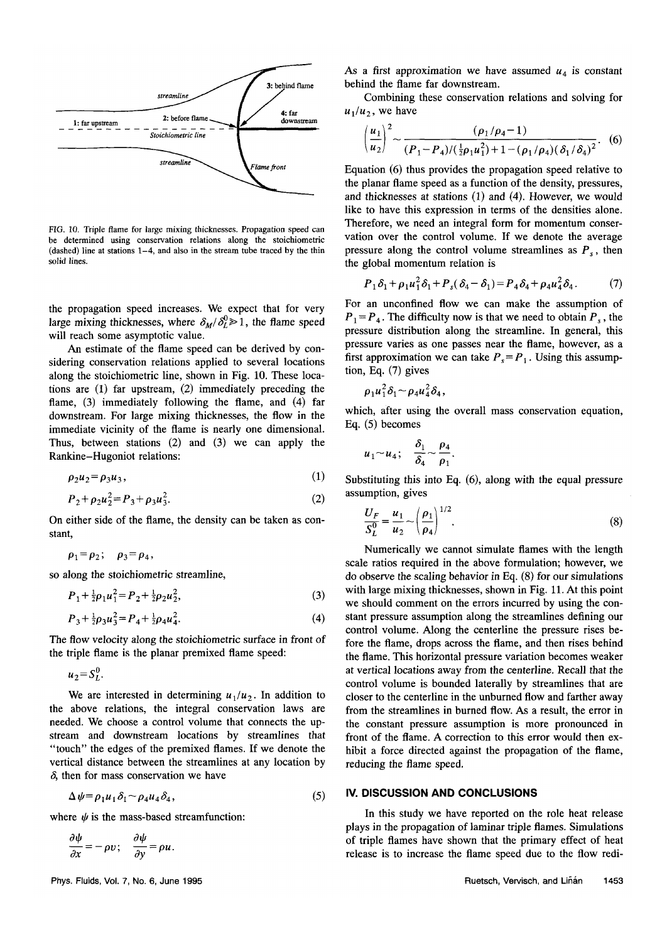

FIG. 10. Triple flame for large mixing thicknesses. Propagation speed can be determined using conservation relations along the stoichiometric (dashed) line at stations 1-4, and also in the stream tube traced by the thin solid lines.

the propagation speed increases. We expect that for very large mixing thicknesses, where  $\delta_M/\delta_L^0 \geq 1$ , the flame speed will reach some asymptotic value.

An estimate of the flame speed can be derived by considering conservation relations applied to several locations along the stoichiometric line, shown in Fig. 10. These locations are (1) far upstream, (2) immediately preceding the flame, (3) immediately following the flame, and (4) far downstream. For large mixing thicknesses, the flow in the immediate vicinity of the flame is nearly one dimensional. Thus, between stations (2) and (3) we can apply the Rankine-Hugoniot relations:

$$
\rho_2 u_2 = \rho_3 u_3,\tag{1}
$$

$$
P_2 + \rho_2 u_2^2 = P_3 + \rho_3 u_3^2. \tag{2}
$$

On either side of the flame, the density can be taken as constant,

$$
\rho_1 = \rho_2
$$
;  $\rho_3 = \rho_4$ ,

so along the stoichiometric streamline,

$$
P_1 + \frac{1}{2}\rho_1 u_1^2 = P_2 + \frac{1}{2}\rho_2 u_2^2, \tag{3}
$$

$$
P_3 + \frac{1}{2}\rho_3 u_3^2 = P_4 + \frac{1}{2}\rho_4 u_4^2. \tag{4}
$$

The flow velocity along the stoichiometric surface in front of the triple flame is the planar premixed flame speed:

 $u_2 = S_L^0$ .

We are interested in determining  $u_1/u_2$ . In addition to the above relations, the integral conservation laws are needed. We choose a control volume that connects the upstream and downstream locations by streamlines that "touch" the edges of the premixed flames. If we denote the vertical distance between the streamlines at any location by *8,* then for mass conservation we have

$$
\Delta \psi = \rho_1 u_1 \delta_1 \sim \rho_4 u_4 \delta_4,\tag{5}
$$

where  $\psi$  is the mass-based streamfunction:

$$
\frac{\partial \psi}{\partial x} = -\rho v; \quad \frac{\partial \psi}{\partial y} = \rho u.
$$

As a first approximation we have assumed  $u_4$  is constant behind the flame far downstream.

Combining these conservation relations and solving for  $u_1/u_2$ , we have

$$
\left(\frac{u_1}{u_2}\right)^2 \sim \frac{(\rho_1/\rho_4 - 1)}{(P_1 - P_4)/(\frac{1}{2}\rho_1 u_1^2) + 1 - (\rho_1/\rho_4)(\delta_1/\delta_4)^2}.
$$
 (6)

Equation (6) thus provides the propagation speed relative to the planar flame speed as a function of the density, pressures, and thicknesses at stations (1) and (4). However, we would like to have this expression in terms of the densities alone. Therefore, we need an integral form for momentum conservation over the control volume. If we denote the average pressure along the control volume streamlines as  $P_s$ , then the global momentum relation is

$$
P_1 \delta_1 + \rho_1 u_1^2 \delta_1 + P_s (\delta_4 - \delta_1) = P_4 \delta_4 + \rho_4 u_4^2 \delta_4. \tag{7}
$$

For an unconfined flow we can make the assumption of  $P_1 = P_4$ . The difficulty now is that we need to obtain  $P_s$ , the pressure distribution along the streamline. In general, this pressure varies as one passes near the flame, however, as a first approximation we can take  $P_s = P_1$ . Using this assumption, Eq. (7) gives

$$
\rho_1 u_1^2 \delta_1 \sim \rho_4 u_4^2 \delta_4,
$$

which, after using the overall mass conservation equation, Eq. (5) becomes

$$
u_1 \sim u_4; \quad \frac{\delta_1}{\delta_4} \sim \frac{\rho_4}{\rho_1}.
$$

Substituting this into Eq. (6), along with the equal pressure assumption, gives

$$
\frac{U_F}{S_L^0} = \frac{u_1}{u_2} \sim \left(\frac{\rho_1}{\rho_4}\right)^{1/2}.
$$
\n(8)

Numerically we cannot simulate flames with the length scale ratios required in the above formulation; however, we do observe the scaling behavior in Eq. (8) for our simulations with large mixing thicknesses, shown in Fig. 11. At this point we should comment on the errors incurred by using the constant pressure assumption along the streamlines defining our control volume. Along the centerline the pressure rises before the flame, drops across the flame, and then rises behind the flame. This horizontal pressure variation becomes weaker at vertical locations away from the centerline. Recall that the control volume is bounded laterally by streamlines that are closer to the centerline in the unburned flow and farther away from the streamlines in burned flow. As a result, the error in the constant pressure assumption is more pronounced in front of the flame. A correction to this error would then exhibit a force directed against the propagation of the flame, reducing the flame speed.

## **IV. DISCUSSION AND CONCLUSIONS**

In this study we have reported on the role heat release plays in the propagation of laminar triple flames. Simulations of triple flames have shown that the primary effect of heat release is to increase the flame speed due to the flow redi-